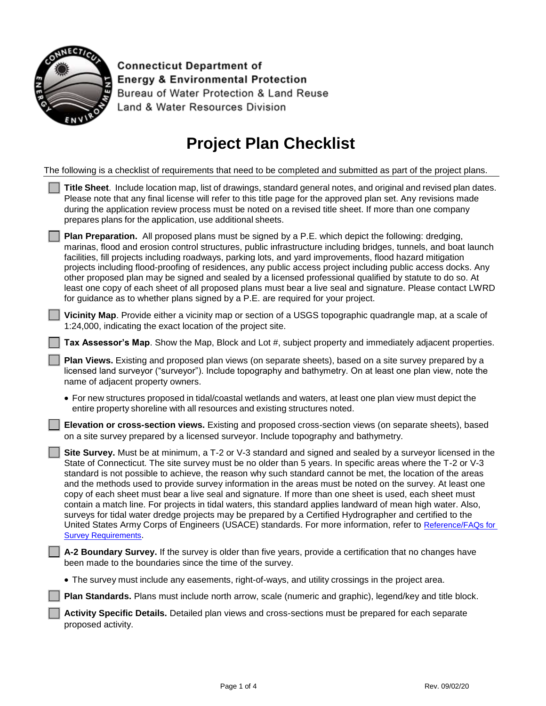

**Connecticut Department of Energy & Environmental Protection** Bureau of Water Protection & Land Reuse Land & Water Resources Division

## **Project Plan Checklist**

| The following is a checklist of requirements that need to be completed and submitted as part of the project plans. |
|--------------------------------------------------------------------------------------------------------------------|
|--------------------------------------------------------------------------------------------------------------------|

| Title Sheet. Include location map, list of drawings, standard general notes, and original and revised plan dates.<br>Please note that any final license will refer to this title page for the approved plan set. Any revisions made<br>during the application review process must be noted on a revised title sheet. If more than one company<br>prepares plans for the application, use additional sheets.                                                                                                                                                                                                                                                                                                                                                                                                                                                                                                                              |
|------------------------------------------------------------------------------------------------------------------------------------------------------------------------------------------------------------------------------------------------------------------------------------------------------------------------------------------------------------------------------------------------------------------------------------------------------------------------------------------------------------------------------------------------------------------------------------------------------------------------------------------------------------------------------------------------------------------------------------------------------------------------------------------------------------------------------------------------------------------------------------------------------------------------------------------|
| Plan Preparation. All proposed plans must be signed by a P.E. which depict the following: dredging,<br>marinas, flood and erosion control structures, public infrastructure including bridges, tunnels, and boat launch<br>facilities, fill projects including roadways, parking lots, and yard improvements, flood hazard mitigation<br>projects including flood-proofing of residences, any public access project including public access docks. Any<br>other proposed plan may be signed and sealed by a licensed professional qualified by statute to do so. At<br>least one copy of each sheet of all proposed plans must bear a live seal and signature. Please contact LWRD<br>for guidance as to whether plans signed by a P.E. are required for your project.                                                                                                                                                                   |
| Vicinity Map. Provide either a vicinity map or section of a USGS topographic quadrangle map, at a scale of<br>1:24,000, indicating the exact location of the project site.                                                                                                                                                                                                                                                                                                                                                                                                                                                                                                                                                                                                                                                                                                                                                               |
| Tax Assessor's Map. Show the Map, Block and Lot #, subject property and immediately adjacent properties.                                                                                                                                                                                                                                                                                                                                                                                                                                                                                                                                                                                                                                                                                                                                                                                                                                 |
| Plan Views. Existing and proposed plan views (on separate sheets), based on a site survey prepared by a<br>licensed land surveyor ("surveyor"). Include topography and bathymetry. On at least one plan view, note the<br>name of adjacent property owners.                                                                                                                                                                                                                                                                                                                                                                                                                                                                                                                                                                                                                                                                              |
| • For new structures proposed in tidal/coastal wetlands and waters, at least one plan view must depict the<br>entire property shoreline with all resources and existing structures noted.                                                                                                                                                                                                                                                                                                                                                                                                                                                                                                                                                                                                                                                                                                                                                |
| Elevation or cross-section views. Existing and proposed cross-section views (on separate sheets), based<br>on a site survey prepared by a licensed surveyor. Include topography and bathymetry.                                                                                                                                                                                                                                                                                                                                                                                                                                                                                                                                                                                                                                                                                                                                          |
| Site Survey. Must be at minimum, a T-2 or V-3 standard and signed and sealed by a surveyor licensed in the<br>State of Connecticut. The site survey must be no older than 5 years. In specific areas where the T-2 or V-3<br>standard is not possible to achieve, the reason why such standard cannot be met, the location of the areas<br>and the methods used to provide survey information in the areas must be noted on the survey. At least one<br>copy of each sheet must bear a live seal and signature. If more than one sheet is used, each sheet must<br>contain a match line. For projects in tidal waters, this standard applies landward of mean high water. Also,<br>surveys for tidal water dredge projects may be prepared by a Certified Hydrographer and certified to the<br>United States Army Corps of Engineers (USACE) standards. For more information, refer to Reference/FAQs for<br><b>Survey Requirements.</b> |
| A-2 Boundary Survey. If the survey is older than five years, provide a certification that no changes have<br>been made to the boundaries since the time of the survey.                                                                                                                                                                                                                                                                                                                                                                                                                                                                                                                                                                                                                                                                                                                                                                   |
| • The survey must include any easements, right-of-ways, and utility crossings in the project area.                                                                                                                                                                                                                                                                                                                                                                                                                                                                                                                                                                                                                                                                                                                                                                                                                                       |
| Plan Standards. Plans must include north arrow, scale (numeric and graphic), legend/key and title block.                                                                                                                                                                                                                                                                                                                                                                                                                                                                                                                                                                                                                                                                                                                                                                                                                                 |
| Activity Specific Details. Detailed plan views and cross-sections must be prepared for each separate<br>proposed activity.                                                                                                                                                                                                                                                                                                                                                                                                                                                                                                                                                                                                                                                                                                                                                                                                               |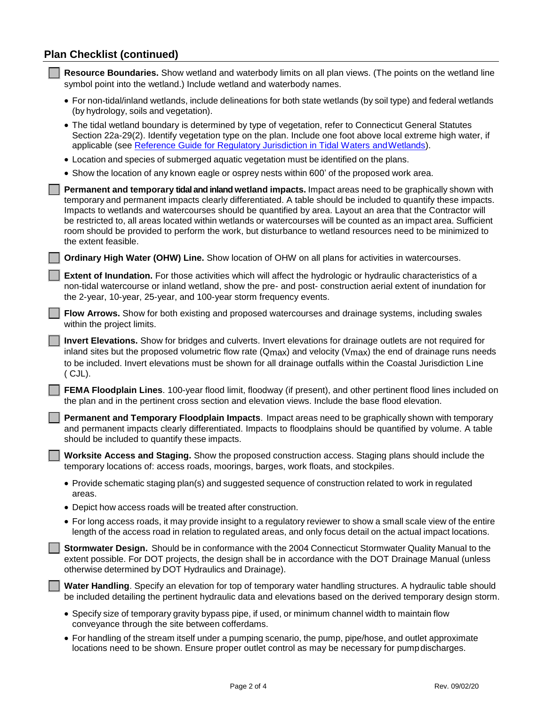## **Plan Checklist (continued)**

| Resource Boundaries. Show wetland and waterbody limits on all plan views. (The points on the wetland line<br>symbol point into the wetland.) Include wetland and waterbody names.                                                                                                                                                                                                                                                                                                                                                                                                                 |
|---------------------------------------------------------------------------------------------------------------------------------------------------------------------------------------------------------------------------------------------------------------------------------------------------------------------------------------------------------------------------------------------------------------------------------------------------------------------------------------------------------------------------------------------------------------------------------------------------|
| • For non-tidal/inland wetlands, include delineations for both state wetlands (by soil type) and federal wetlands<br>(by hydrology, soils and vegetation).                                                                                                                                                                                                                                                                                                                                                                                                                                        |
| • The tidal wetland boundary is determined by type of vegetation, refer to Connecticut General Statutes<br>Section 22a-29(2). Identify vegetation type on the plan. Include one foot above local extreme high water, if<br>applicable (see Reference Guide for Regulatory Jurisdiction in Tidal Waters and Wetlands).                                                                                                                                                                                                                                                                             |
| • Location and species of submerged aquatic vegetation must be identified on the plans.                                                                                                                                                                                                                                                                                                                                                                                                                                                                                                           |
| • Show the location of any known eagle or osprey nests within 600' of the proposed work area.                                                                                                                                                                                                                                                                                                                                                                                                                                                                                                     |
| Permanent and temporary tidal and inland wetland impacts. Impact areas need to be graphically shown with<br>temporary and permanent impacts clearly differentiated. A table should be included to quantify these impacts.<br>Impacts to wetlands and watercourses should be quantified by area. Layout an area that the Contractor will<br>be restricted to, all areas located within wetlands or watercourses will be counted as an impact area. Sufficient<br>room should be provided to perform the work, but disturbance to wetland resources need to be minimized to<br>the extent feasible. |
| Ordinary High Water (OHW) Line. Show location of OHW on all plans for activities in watercourses.                                                                                                                                                                                                                                                                                                                                                                                                                                                                                                 |
| Extent of Inundation. For those activities which will affect the hydrologic or hydraulic characteristics of a<br>non-tidal watercourse or inland wetland, show the pre- and post- construction aerial extent of inundation for<br>the 2-year, 10-year, 25-year, and 100-year storm frequency events.                                                                                                                                                                                                                                                                                              |
| Flow Arrows. Show for both existing and proposed watercourses and drainage systems, including swales<br>within the project limits.                                                                                                                                                                                                                                                                                                                                                                                                                                                                |
| Invert Elevations. Show for bridges and culverts. Invert elevations for drainage outlets are not required for<br>inland sites but the proposed volumetric flow rate (Qmax) and velocity (Vmax) the end of drainage runs needs<br>to be included. Invert elevations must be shown for all drainage outfalls within the Coastal Jurisdiction Line<br>$(CJL)$ .                                                                                                                                                                                                                                      |
| FEMA Floodplain Lines. 100-year flood limit, floodway (if present), and other pertinent flood lines included on<br>the plan and in the pertinent cross section and elevation views. Include the base flood elevation.                                                                                                                                                                                                                                                                                                                                                                             |
| Permanent and Temporary Floodplain Impacts. Impact areas need to be graphically shown with temporary<br>and permanent impacts clearly differentiated. Impacts to floodplains should be quantified by volume. A table<br>should be included to quantify these impacts.                                                                                                                                                                                                                                                                                                                             |
| Worksite Access and Staging. Show the proposed construction access. Staging plans should include the<br>temporary locations of: access roads, moorings, barges, work floats, and stockpiles.                                                                                                                                                                                                                                                                                                                                                                                                      |
| • Provide schematic staging plan(s) and suggested sequence of construction related to work in regulated<br>areas.                                                                                                                                                                                                                                                                                                                                                                                                                                                                                 |
| • Depict how access roads will be treated after construction.                                                                                                                                                                                                                                                                                                                                                                                                                                                                                                                                     |
| • For long access roads, it may provide insight to a regulatory reviewer to show a small scale view of the entire<br>length of the access road in relation to regulated areas, and only focus detail on the actual impact locations.                                                                                                                                                                                                                                                                                                                                                              |
| Stormwater Design. Should be in conformance with the 2004 Connecticut Stormwater Quality Manual to the<br>extent possible. For DOT projects, the design shall be in accordance with the DOT Drainage Manual (unless<br>otherwise determined by DOT Hydraulics and Drainage).                                                                                                                                                                                                                                                                                                                      |
| Water Handling. Specify an elevation for top of temporary water handling structures. A hydraulic table should<br>be included detailing the pertinent hydraulic data and elevations based on the derived temporary design storm.                                                                                                                                                                                                                                                                                                                                                                   |
| • Specify size of temporary gravity bypass pipe, if used, or minimum channel width to maintain flow<br>conveyance through the site between cofferdams.                                                                                                                                                                                                                                                                                                                                                                                                                                            |
| • For handling of the stream itself under a pumping scenario, the pump, pipe/hose, and outlet approximate<br>locations need to be shown. Ensure proper outlet control as may be necessary for pump discharges.                                                                                                                                                                                                                                                                                                                                                                                    |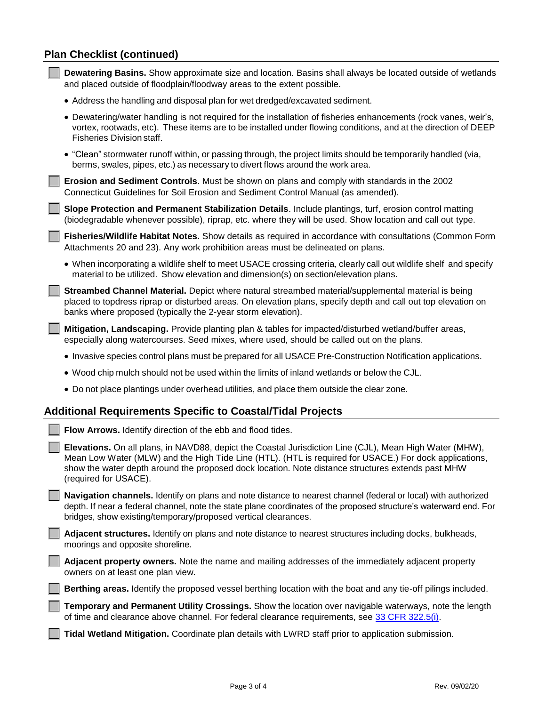## **Plan Checklist (continued)**

| Dewatering Basins. Show approximate size and location. Basins shall always be located outside of wetlands<br>and placed outside of floodplain/floodway areas to the extent possible.                                                                                                                                                            |  |  |
|-------------------------------------------------------------------------------------------------------------------------------------------------------------------------------------------------------------------------------------------------------------------------------------------------------------------------------------------------|--|--|
| • Address the handling and disposal plan for wet dredged/excavated sediment.                                                                                                                                                                                                                                                                    |  |  |
| • Dewatering/water handling is not required for the installation of fisheries enhancements (rock vanes, weir's,<br>vortex, rootwads, etc). These items are to be installed under flowing conditions, and at the direction of DEEP<br>Fisheries Division staff.                                                                                  |  |  |
| • "Clean" stormwater runoff within, or passing through, the project limits should be temporarily handled (via,<br>berms, swales, pipes, etc.) as necessary to divert flows around the work area.                                                                                                                                                |  |  |
| Erosion and Sediment Controls. Must be shown on plans and comply with standards in the 2002<br>Connecticut Guidelines for Soil Erosion and Sediment Control Manual (as amended).                                                                                                                                                                |  |  |
| Slope Protection and Permanent Stabilization Details. Include plantings, turf, erosion control matting<br>(biodegradable whenever possible), riprap, etc. where they will be used. Show location and call out type.                                                                                                                             |  |  |
| Fisheries/Wildlife Habitat Notes. Show details as required in accordance with consultations (Common Form<br>Attachments 20 and 23). Any work prohibition areas must be delineated on plans.                                                                                                                                                     |  |  |
| • When incorporating a wildlife shelf to meet USACE crossing criteria, clearly call out wildlife shelf and specify<br>material to be utilized. Show elevation and dimension(s) on section/elevation plans.                                                                                                                                      |  |  |
| Streambed Channel Material. Depict where natural streambed material/supplemental material is being<br>placed to topdress riprap or disturbed areas. On elevation plans, specify depth and call out top elevation on<br>banks where proposed (typically the 2-year storm elevation).                                                             |  |  |
| Mitigation, Landscaping. Provide planting plan & tables for impacted/disturbed wetland/buffer areas,<br>especially along watercourses. Seed mixes, where used, should be called out on the plans.                                                                                                                                               |  |  |
| • Invasive species control plans must be prepared for all USACE Pre-Construction Notification applications.                                                                                                                                                                                                                                     |  |  |
| . Wood chip mulch should not be used within the limits of inland wetlands or below the CJL.                                                                                                                                                                                                                                                     |  |  |
| . Do not place plantings under overhead utilities, and place them outside the clear zone.                                                                                                                                                                                                                                                       |  |  |
| <b>Additional Requirements Specific to Coastal/Tidal Projects</b>                                                                                                                                                                                                                                                                               |  |  |
| Flow Arrows. Identify direction of the ebb and flood tides.                                                                                                                                                                                                                                                                                     |  |  |
| Elevations. On all plans, in NAVD88, depict the Coastal Jurisdiction Line (CJL), Mean High Water (MHW),<br>Mean Low Water (MLW) and the High Tide Line (HTL). (HTL is required for USACE.) For dock applications,<br>show the water depth around the proposed dock location. Note distance structures extends past MHW<br>(required for USACE). |  |  |
| Navigation channels. Identify on plans and note distance to nearest channel (federal or local) with authorized<br>depth. If near a federal channel, note the state plane coordinates of the proposed structure's waterward end. For<br>bridges, show existing/temporary/proposed vertical clearances.                                           |  |  |
| Adjacent structures. Identify on plans and note distance to nearest structures including docks, bulkheads,<br>moorings and opposite shoreline.                                                                                                                                                                                                  |  |  |
| Adjacent property owners. Note the name and mailing addresses of the immediately adjacent property<br>owners on at least one plan view.                                                                                                                                                                                                         |  |  |
| Berthing areas. Identify the proposed vessel berthing location with the boat and any tie-off pilings included.                                                                                                                                                                                                                                  |  |  |
| Temporary and Permanent Utility Crossings. Show the location over navigable waterways, note the length<br>of time and clearance above channel. For federal clearance requirements, see 33 CFR 322.5(i).                                                                                                                                         |  |  |
| Tidal Wetland Mitigation. Coordinate plan details with LWRD staff prior to application submission.                                                                                                                                                                                                                                              |  |  |